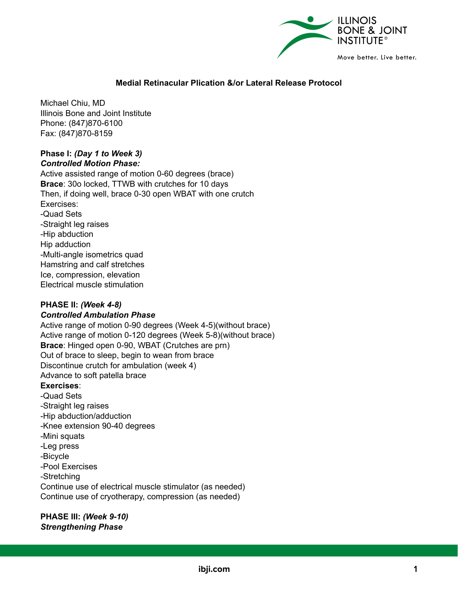

# **Medial Retinacular Plication &/or Lateral Release Protocol**

Michael Chiu, MD Illinois Bone and Joint Institute Phone: (847)870-6100 Fax: (847)870-8159

## **Phase I:** *(Day 1 to Week 3) Controlled Motion Phase:*

Active assisted range of motion 0-60 degrees (brace) **Brace**: 30o locked, TTWB with crutches for 10 days Then, if doing well, brace 0-30 open WBAT with one crutch Exercises: -Quad Sets -Straight leg raises -Hip abduction Hip adduction -Multi-angle isometrics quad Hamstring and calf stretches Ice, compression, elevation Electrical muscle stimulation

## **PHASE II:** *(Week 4-8)*

#### *Controlled Ambulation Phase*

Active range of motion 0-90 degrees (Week 4-5)(without brace) Active range of motion 0-120 degrees (Week 5-8)(without brace) **Brace**: Hinged open 0-90, WBAT (Crutches are prn) Out of brace to sleep, begin to wean from brace Discontinue crutch for ambulation (week 4) Advance to soft patella brace **Exercises**: -Quad Sets

-Straight leg raises -Hip abduction/adduction -Knee extension 90-40 degrees -Mini squats -Leg press -Bicycle -Pool Exercises -Stretching Continue use of electrical muscle stimulator (as needed) Continue use of cryotherapy, compression (as needed)

**PHASE III:** *(Week 9-10) Strengthening Phase*